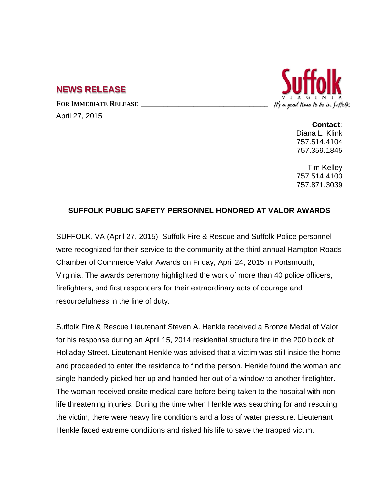## **NEWS RELEASE**

FOR IMMEDIATE RELEASE

April 27, 2015



**Contact:** Diana L. Klink 757.514.4104 757.359.1845

Tim Kelley 757.514.4103 757.871.3039

## **SUFFOLK PUBLIC SAFETY PERSONNEL HONORED AT VALOR AWARDS**

SUFFOLK, VA (April 27, 2015) Suffolk Fire & Rescue and Suffolk Police personnel were recognized for their service to the community at the third annual Hampton Roads Chamber of Commerce Valor Awards on Friday, April 24, 2015 in Portsmouth, Virginia. The awards ceremony highlighted the work of more than 40 police officers, firefighters, and first responders for their extraordinary acts of courage and resourcefulness in the line of duty.

Suffolk Fire & Rescue Lieutenant Steven A. Henkle received a Bronze Medal of Valor for his response during an April 15, 2014 residential structure fire in the 200 block of Holladay Street. Lieutenant Henkle was advised that a victim was still inside the home and proceeded to enter the residence to find the person. Henkle found the woman and single-handedly picked her up and handed her out of a window to another firefighter. The woman received onsite medical care before being taken to the hospital with nonlife threatening injuries. During the time when Henkle was searching for and rescuing the victim, there were heavy fire conditions and a loss of water pressure. Lieutenant Henkle faced extreme conditions and risked his life to save the trapped victim.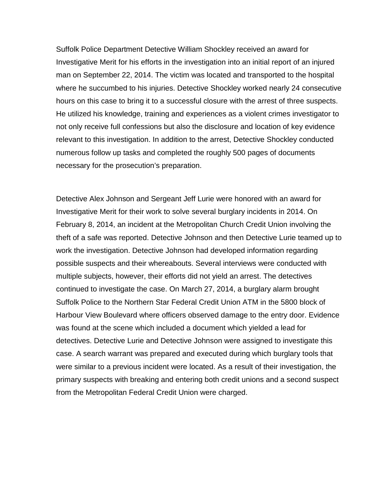Suffolk Police Department Detective William Shockley received an award for Investigative Merit for his efforts in the investigation into an initial report of an injured man on September 22, 2014. The victim was located and transported to the hospital where he succumbed to his injuries. Detective Shockley worked nearly 24 consecutive hours on this case to bring it to a successful closure with the arrest of three suspects. He utilized his knowledge, training and experiences as a violent crimes investigator to not only receive full confessions but also the disclosure and location of key evidence relevant to this investigation. In addition to the arrest, Detective Shockley conducted numerous follow up tasks and completed the roughly 500 pages of documents necessary for the prosecution's preparation.

Detective Alex Johnson and Sergeant Jeff Lurie were honored with an award for Investigative Merit for their work to solve several burglary incidents in 2014. On February 8, 2014, an incident at the Metropolitan Church Credit Union involving the theft of a safe was reported. Detective Johnson and then Detective Lurie teamed up to work the investigation. Detective Johnson had developed information regarding possible suspects and their whereabouts. Several interviews were conducted with multiple subjects, however, their efforts did not yield an arrest. The detectives continued to investigate the case. On March 27, 2014, a burglary alarm brought Suffolk Police to the Northern Star Federal Credit Union ATM in the 5800 block of Harbour View Boulevard where officers observed damage to the entry door. Evidence was found at the scene which included a document which yielded a lead for detectives. Detective Lurie and Detective Johnson were assigned to investigate this case. A search warrant was prepared and executed during which burglary tools that were similar to a previous incident were located. As a result of their investigation, the primary suspects with breaking and entering both credit unions and a second suspect from the Metropolitan Federal Credit Union were charged.